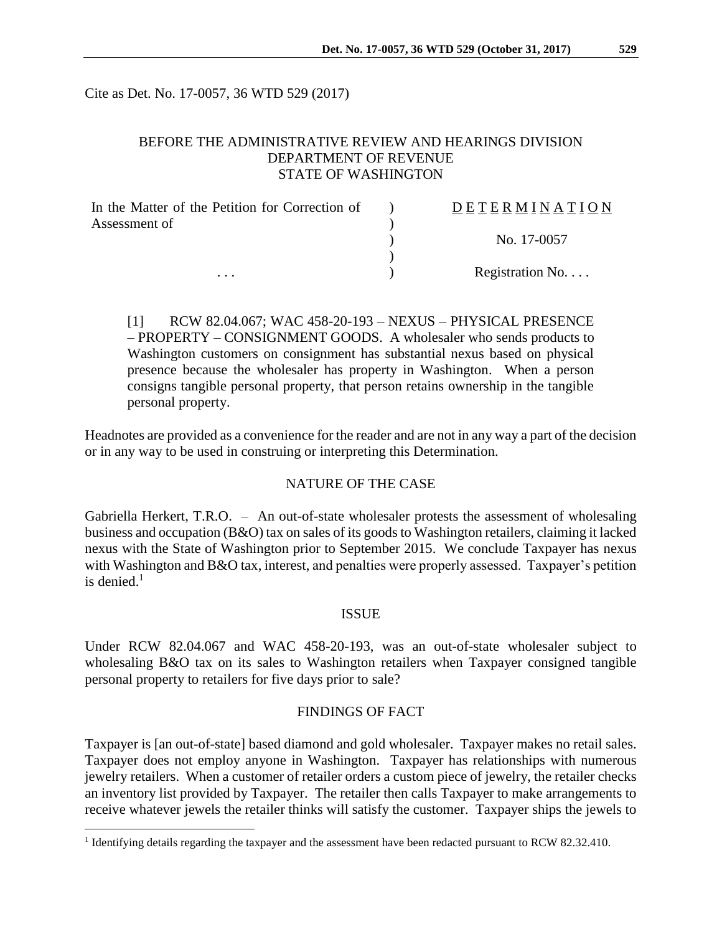Cite as Det. No. 17-0057, 36 WTD 529 (2017)

## BEFORE THE ADMINISTRATIVE REVIEW AND HEARINGS DIVISION DEPARTMENT OF REVENUE STATE OF WASHINGTON

| In the Matter of the Petition for Correction of | DETERMINATION   |
|-------------------------------------------------|-----------------|
| Assessment of                                   |                 |
|                                                 | No. 17-0057     |
|                                                 |                 |
| $\cdots$                                        | Registration No |

[1] RCW 82.04.067; WAC 458-20-193 – NEXUS – PHYSICAL PRESENCE – PROPERTY – CONSIGNMENT GOODS. A wholesaler who sends products to Washington customers on consignment has substantial nexus based on physical presence because the wholesaler has property in Washington. When a person consigns tangible personal property, that person retains ownership in the tangible personal property.

Headnotes are provided as a convenience for the reader and are not in any way a part of the decision or in any way to be used in construing or interpreting this Determination.

### NATURE OF THE CASE

Gabriella Herkert, T.R.O. – An out-of-state wholesaler protests the assessment of wholesaling business and occupation (B&O) tax on sales of its goods to Washington retailers, claiming it lacked nexus with the State of Washington prior to September 2015. We conclude Taxpayer has nexus with Washington and B&O tax, interest, and penalties were properly assessed. Taxpayer's petition is denied. $<sup>1</sup>$ </sup>

### **ISSUE**

Under RCW 82.04.067 and WAC 458-20-193, was an out-of-state wholesaler subject to wholesaling B&O tax on its sales to Washington retailers when Taxpayer consigned tangible personal property to retailers for five days prior to sale?

### FINDINGS OF FACT

Taxpayer is [an out-of-state] based diamond and gold wholesaler. Taxpayer makes no retail sales. Taxpayer does not employ anyone in Washington. Taxpayer has relationships with numerous jewelry retailers. When a customer of retailer orders a custom piece of jewelry, the retailer checks an inventory list provided by Taxpayer. The retailer then calls Taxpayer to make arrangements to receive whatever jewels the retailer thinks will satisfy the customer. Taxpayer ships the jewels to

 $\overline{a}$ 

<sup>&</sup>lt;sup>1</sup> Identifying details regarding the taxpayer and the assessment have been redacted pursuant to RCW 82.32.410.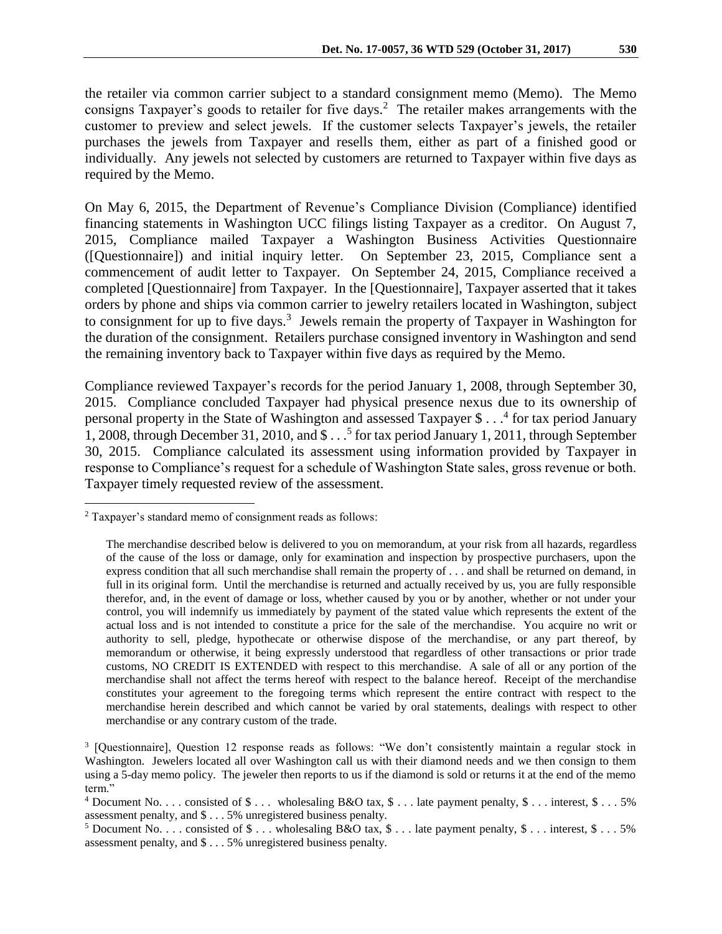the retailer via common carrier subject to a standard consignment memo (Memo). The Memo consigns Taxpayer's goods to retailer for five days.<sup>2</sup> The retailer makes arrangements with the customer to preview and select jewels. If the customer selects Taxpayer's jewels, the retailer purchases the jewels from Taxpayer and resells them, either as part of a finished good or individually. Any jewels not selected by customers are returned to Taxpayer within five days as required by the Memo.

On May 6, 2015, the Department of Revenue's Compliance Division (Compliance) identified financing statements in Washington UCC filings listing Taxpayer as a creditor. On August 7, 2015, Compliance mailed Taxpayer a Washington Business Activities Questionnaire ([Questionnaire]) and initial inquiry letter. On September 23, 2015, Compliance sent a commencement of audit letter to Taxpayer. On September 24, 2015, Compliance received a completed [Questionnaire] from Taxpayer. In the [Questionnaire], Taxpayer asserted that it takes orders by phone and ships via common carrier to jewelry retailers located in Washington, subject to consignment for up to five days.<sup>3</sup> Jewels remain the property of Taxpayer in Washington for the duration of the consignment. Retailers purchase consigned inventory in Washington and send the remaining inventory back to Taxpayer within five days as required by the Memo.

Compliance reviewed Taxpayer's records for the period January 1, 2008, through September 30, 2015. Compliance concluded Taxpayer had physical presence nexus due to its ownership of personal property in the State of Washington and assessed Taxpayer \$ . . . 4 for tax period January 1, 2008, through December 31, 2010, and \$ . . . 5 for tax period January 1, 2011, through September 30, 2015. Compliance calculated its assessment using information provided by Taxpayer in response to Compliance's request for a schedule of Washington State sales, gross revenue or both. Taxpayer timely requested review of the assessment.

 $\overline{a}$ 

<sup>2</sup> Taxpayer's standard memo of consignment reads as follows:

The merchandise described below is delivered to you on memorandum, at your risk from all hazards, regardless of the cause of the loss or damage, only for examination and inspection by prospective purchasers, upon the express condition that all such merchandise shall remain the property of . . . and shall be returned on demand, in full in its original form. Until the merchandise is returned and actually received by us, you are fully responsible therefor, and, in the event of damage or loss, whether caused by you or by another, whether or not under your control, you will indemnify us immediately by payment of the stated value which represents the extent of the actual loss and is not intended to constitute a price for the sale of the merchandise. You acquire no writ or authority to sell, pledge, hypothecate or otherwise dispose of the merchandise, or any part thereof, by memorandum or otherwise, it being expressly understood that regardless of other transactions or prior trade customs, NO CREDIT IS EXTENDED with respect to this merchandise. A sale of all or any portion of the merchandise shall not affect the terms hereof with respect to the balance hereof. Receipt of the merchandise constitutes your agreement to the foregoing terms which represent the entire contract with respect to the merchandise herein described and which cannot be varied by oral statements, dealings with respect to other merchandise or any contrary custom of the trade.

<sup>&</sup>lt;sup>3</sup> [Questionnaire], Question 12 response reads as follows: "We don't consistently maintain a regular stock in Washington. Jewelers located all over Washington call us with their diamond needs and we then consign to them using a 5-day memo policy. The jeweler then reports to us if the diamond is sold or returns it at the end of the memo term."

 $4$  Document No. . . . consisted of  $\$\ldots$$  wholesaling B&O tax,  $\$\ldots$  late payment penalty,  $\$\ldots$  interest,  $\$\ldots$  5% assessment penalty, and \$ . . . 5% unregistered business penalty.

<sup>&</sup>lt;sup>5</sup> Document No. . . . consisted of  $\text{\$} \dots$  wholesaling B&O tax,  $\text{\$} \dots$  late payment penalty,  $\text{\$} \dots$  interest,  $\text{\$} \dots$  5% assessment penalty, and \$ . . . 5% unregistered business penalty.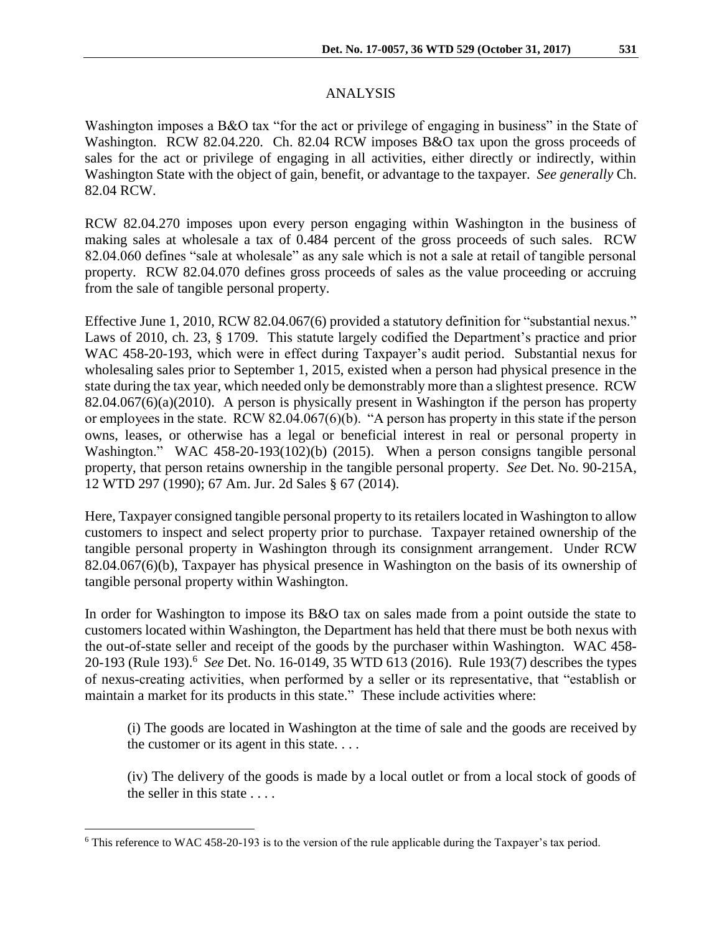Washington imposes a B&O tax "for the act or privilege of engaging in business" in the State of Washington. RCW 82.04.220. Ch. 82.04 RCW imposes B&O tax upon the gross proceeds of sales for the act or privilege of engaging in all activities, either directly or indirectly, within Washington State with the object of gain, benefit, or advantage to the taxpayer. *See generally* Ch. 82.04 RCW.

RCW 82.04.270 imposes upon every person engaging within Washington in the business of making sales at wholesale a tax of 0.484 percent of the gross proceeds of such sales. RCW 82.04.060 defines "sale at wholesale" as any sale which is not a sale at retail of tangible personal property. RCW 82.04.070 defines gross proceeds of sales as the value proceeding or accruing from the sale of tangible personal property.

Effective June 1, 2010, RCW 82.04.067(6) provided a statutory definition for "substantial nexus." Laws of 2010, ch. 23, § 1709. This statute largely codified the Department's practice and prior WAC 458-20-193, which were in effect during Taxpayer's audit period. Substantial nexus for wholesaling sales prior to September 1, 2015, existed when a person had physical presence in the state during the tax year, which needed only be demonstrably more than a slightest presence. RCW 82.04.067(6)(a)(2010). A person is physically present in Washington if the person has property or employees in the state. RCW 82.04.067(6)(b). "A person has property in this state if the person owns, leases, or otherwise has a legal or beneficial interest in real or personal property in Washington." WAC 458-20-193(102)(b) (2015). When a person consigns tangible personal property, that person retains ownership in the tangible personal property. *See* Det. No. 90-215A, 12 WTD 297 (1990); 67 Am. Jur. 2d Sales § 67 (2014).

Here, Taxpayer consigned tangible personal property to its retailers located in Washington to allow customers to inspect and select property prior to purchase. Taxpayer retained ownership of the tangible personal property in Washington through its consignment arrangement. Under RCW 82.04.067(6)(b), Taxpayer has physical presence in Washington on the basis of its ownership of tangible personal property within Washington.

In order for Washington to impose its B&O tax on sales made from a point outside the state to customers located within Washington, the Department has held that there must be both nexus with the out-of-state seller and receipt of the goods by the purchaser within Washington. WAC 458- 20-193 (Rule 193).<sup>6</sup> *See* Det. No. 16-0149, 35 WTD 613 (2016). Rule 193(7) describes the types of nexus-creating activities, when performed by a seller or its representative, that "establish or maintain a market for its products in this state." These include activities where:

(i) The goods are located in Washington at the time of sale and the goods are received by the customer or its agent in this state. . . .

(iv) The delivery of the goods is made by a local outlet or from a local stock of goods of the seller in this state . . . .

 $\overline{a}$ 

<sup>6</sup> This reference to WAC 458-20-193 is to the version of the rule applicable during the Taxpayer's tax period.